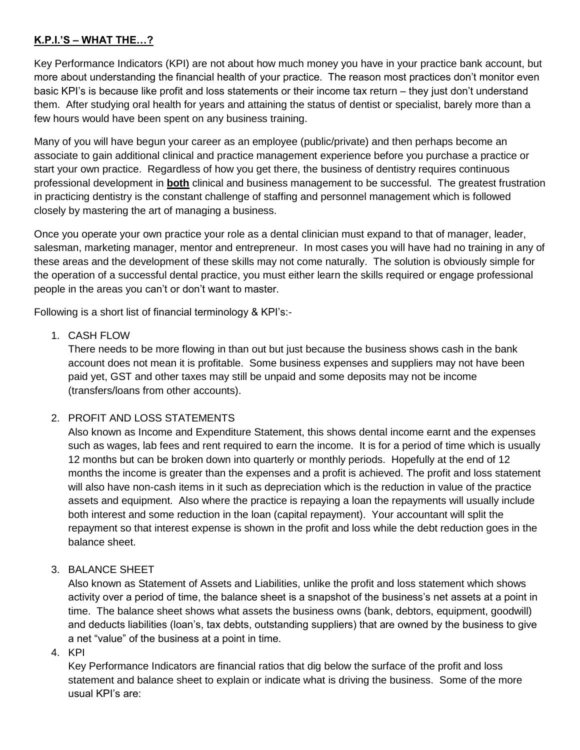## **K.P.I.'S – WHAT THE…?**

Key Performance Indicators (KPI) are not about how much money you have in your practice bank account, but more about understanding the financial health of your practice. The reason most practices don't monitor even basic KPI's is because like profit and loss statements or their income tax return – they just don't understand them. After studying oral health for years and attaining the status of dentist or specialist, barely more than a few hours would have been spent on any business training.

Many of you will have begun your career as an employee (public/private) and then perhaps become an associate to gain additional clinical and practice management experience before you purchase a practice or start your own practice. Regardless of how you get there, the business of dentistry requires continuous professional development in **both** clinical and business management to be successful. The greatest frustration in practicing dentistry is the constant challenge of staffing and personnel management which is followed closely by mastering the art of managing a business.

Once you operate your own practice your role as a dental clinician must expand to that of manager, leader, salesman, marketing manager, mentor and entrepreneur. In most cases you will have had no training in any of these areas and the development of these skills may not come naturally. The solution is obviously simple for the operation of a successful dental practice, you must either learn the skills required or engage professional people in the areas you can't or don't want to master.

Following is a short list of financial terminology & KPI's:-

## 1. CASH FLOW

There needs to be more flowing in than out but just because the business shows cash in the bank account does not mean it is profitable. Some business expenses and suppliers may not have been paid yet, GST and other taxes may still be unpaid and some deposits may not be income (transfers/loans from other accounts).

## 2. PROFIT AND LOSS STATEMENTS

Also known as Income and Expenditure Statement, this shows dental income earnt and the expenses such as wages, lab fees and rent required to earn the income. It is for a period of time which is usually 12 months but can be broken down into quarterly or monthly periods. Hopefully at the end of 12 months the income is greater than the expenses and a profit is achieved. The profit and loss statement will also have non-cash items in it such as depreciation which is the reduction in value of the practice assets and equipment. Also where the practice is repaying a loan the repayments will usually include both interest and some reduction in the loan (capital repayment). Your accountant will split the repayment so that interest expense is shown in the profit and loss while the debt reduction goes in the balance sheet.

## 3. BALANCE SHEET

Also known as Statement of Assets and Liabilities, unlike the profit and loss statement which shows activity over a period of time, the balance sheet is a snapshot of the business's net assets at a point in time. The balance sheet shows what assets the business owns (bank, debtors, equipment, goodwill) and deducts liabilities (loan's, tax debts, outstanding suppliers) that are owned by the business to give a net "value" of the business at a point in time.

4. KPI

Key Performance Indicators are financial ratios that dig below the surface of the profit and loss statement and balance sheet to explain or indicate what is driving the business. Some of the more usual KPI's are: